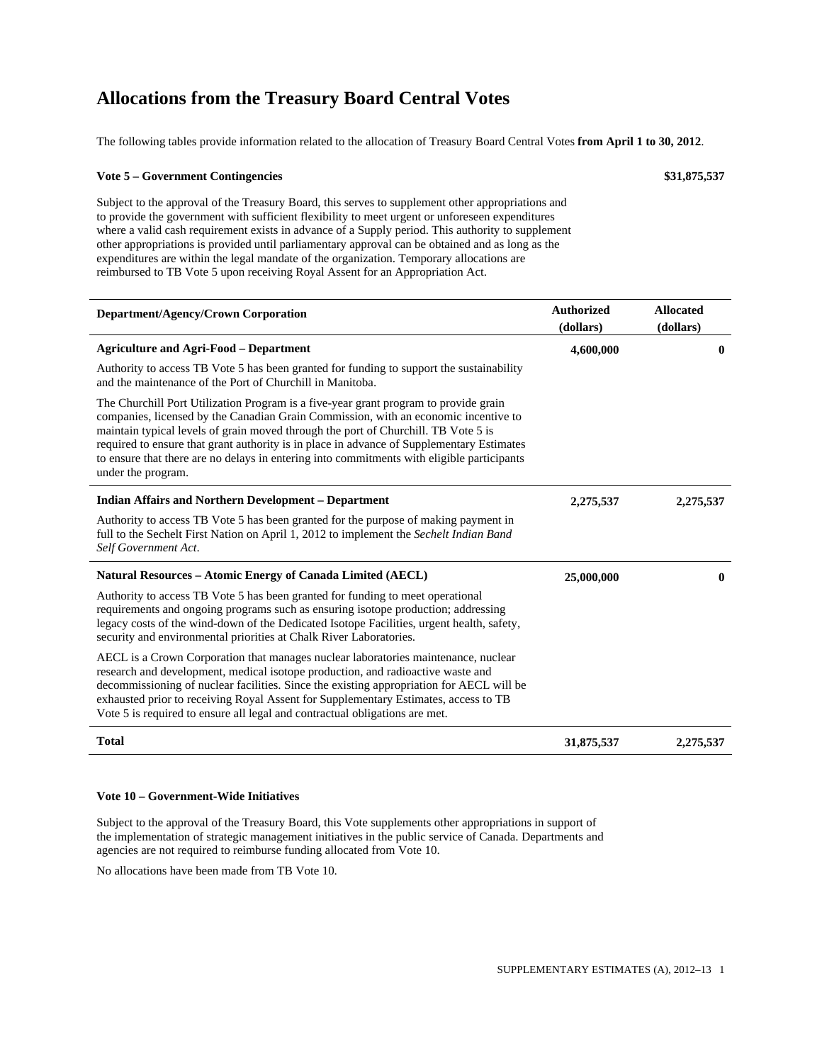## **Allocations from the Treasury Board Central Votes**

The following tables provide information related to the allocation of Treasury Board Central Votes **from April 1 to 30, 2012**.

#### **Vote 5 – Government Contingencies \$31,875,537**

Subject to the approval of the Treasury Board, this serves to supplement other appropriations and to provide the government with sufficient flexibility to meet urgent or unforeseen expenditures where a valid cash requirement exists in advance of a Supply period. This authority to supplement other appropriations is provided until parliamentary approval can be obtained and as long as the expenditures are within the legal mandate of the organization. Temporary allocations are reimbursed to TB Vote 5 upon receiving Royal Assent for an Appropriation Act.

| Department/Agency/Crown Corporation                                                                                                                                                                                                                                                                                                                                                                                                                                                | <b>Authorized</b><br>(dollars) | <b>Allocated</b><br>(dollars) |
|------------------------------------------------------------------------------------------------------------------------------------------------------------------------------------------------------------------------------------------------------------------------------------------------------------------------------------------------------------------------------------------------------------------------------------------------------------------------------------|--------------------------------|-------------------------------|
| <b>Agriculture and Agri-Food – Department</b>                                                                                                                                                                                                                                                                                                                                                                                                                                      | 4,600,000                      | 0                             |
| Authority to access TB Vote 5 has been granted for funding to support the sustainability<br>and the maintenance of the Port of Churchill in Manitoba.                                                                                                                                                                                                                                                                                                                              |                                |                               |
| The Churchill Port Utilization Program is a five-year grant program to provide grain<br>companies, licensed by the Canadian Grain Commission, with an economic incentive to<br>maintain typical levels of grain moved through the port of Churchill. TB Vote 5 is<br>required to ensure that grant authority is in place in advance of Supplementary Estimates<br>to ensure that there are no delays in entering into commitments with eligible participants<br>under the program. |                                |                               |
| <b>Indian Affairs and Northern Development - Department</b>                                                                                                                                                                                                                                                                                                                                                                                                                        | 2,275,537                      | 2,275,537                     |
| Authority to access TB Vote 5 has been granted for the purpose of making payment in<br>full to the Sechelt First Nation on April 1, 2012 to implement the Sechelt Indian Band<br>Self Government Act.                                                                                                                                                                                                                                                                              |                                |                               |
| Natural Resources – Atomic Energy of Canada Limited (AECL)                                                                                                                                                                                                                                                                                                                                                                                                                         | 25,000,000                     | $\mathbf{0}$                  |
| Authority to access TB Vote 5 has been granted for funding to meet operational<br>requirements and ongoing programs such as ensuring isotope production; addressing<br>legacy costs of the wind-down of the Dedicated Isotope Facilities, urgent health, safety,<br>security and environmental priorities at Chalk River Laboratories.                                                                                                                                             |                                |                               |
| AECL is a Crown Corporation that manages nuclear laboratories maintenance, nuclear<br>research and development, medical isotope production, and radioactive waste and<br>decommissioning of nuclear facilities. Since the existing appropriation for AECL will be<br>exhausted prior to receiving Royal Assent for Supplementary Estimates, access to TB<br>Vote 5 is required to ensure all legal and contractual obligations are met.                                            |                                |                               |
| <b>Total</b>                                                                                                                                                                                                                                                                                                                                                                                                                                                                       | 31,875,537                     | 2,275,537                     |

## **Vote 10 – Government-Wide Initiatives**

Subject to the approval of the Treasury Board, this Vote supplements other appropriations in support of the implementation of strategic management initiatives in the public service of Canada. Departments and agencies are not required to reimburse funding allocated from Vote 10.

No allocations have been made from TB Vote 10.